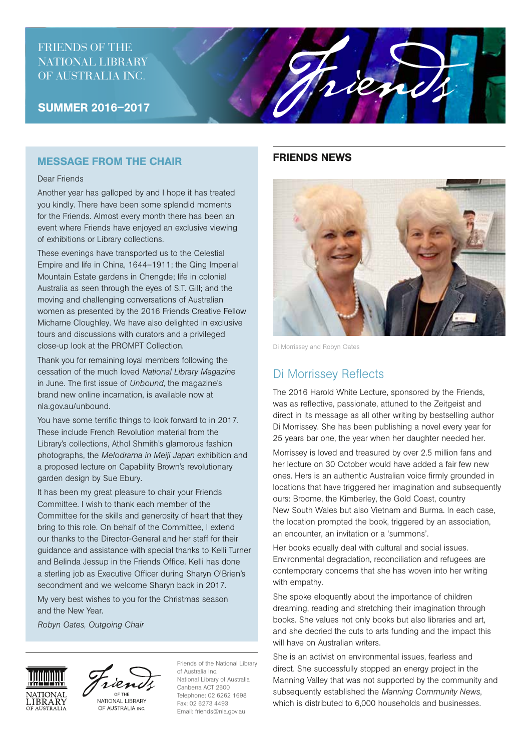# FRIENDS OF THE NATIONAL LIBRARY OF AUSTRALIA INC.

SUMMER 2016–2017

## MESSAGE FROM THE CHAIR

#### Dear Friends

Another year has galloped by and I hope it has treated you kindly. There have been some splendid moments for the Friends. Almost every month there has been an event where Friends have enjoyed an exclusive viewing of exhibitions or Library collections.

These evenings have transported us to the Celestial Empire and life in China, 1644–1911; the Qing Imperial Mountain Estate gardens in Chengde; life in colonial Australia as seen through the eyes of S.T. Gill; and the moving and challenging conversations of Australian women as presented by the 2016 Friends Creative Fellow Micharne Cloughley. We have also delighted in exclusive tours and discussions with curators and a privileged close-up look at the PROMPT Collection.

Thank you for remaining loyal members following the cessation of the much loved *National Library Magazine* in June. The first issue of *Unbound*, the magazine's brand new online incarnation, is available now at nla.gov.au/unbound.

You have some terrific things to look forward to in 2017. These include French Revolution material from the Library's collections, Athol Shmith's glamorous fashion photographs, the *Melodrama in Meiji Japan* exhibition and a proposed lecture on Capability Brown's revolutionary garden design by Sue Ebury.

It has been my great pleasure to chair your Friends Committee. I wish to thank each member of the Committee for the skills and generosity of heart that they bring to this role. On behalf of the Committee, I extend our thanks to the Director-General and her staff for their guidance and assistance with special thanks to Kelli Turner and Belinda Jessup in the Friends Office. Kelli has done a sterling job as Executive Officer during Sharyn O'Brien's secondment and we welcome Sharyn back in 2017.

My very best wishes to you for the Christmas season and the New Year.

*Robyn Oates, Outgoing Chair*

# **VATIONA LIBRARY**



NATIONAL LIBRARY OF AUSTRALIA INC.

Friends of the National Library of Australia Inc. National Library of Australia Canberra ACT 2600 Telephone: 02 6262 1698 Fax: 02 6273 4493 Email: friends@nla.gov.au

### FRIENDS NEWS

rien

Di Morrissey and Robyn Oates

# Di Morrissey Reflects

The 2016 Harold White Lecture, sponsored by the Friends, was as reflective, passionate, attuned to the Zeitgeist and direct in its message as all other writing by bestselling author Di Morrissey. She has been publishing a novel every year for 25 years bar one, the year when her daughter needed her.

Morrissey is loved and treasured by over 2.5 million fans and her lecture on 30 October would have added a fair few new ones. Hers is an authentic Australian voice firmly grounded in locations that have triggered her imagination and subsequently ours: Broome, the Kimberley, the Gold Coast, country New South Wales but also Vietnam and Burma. In each case, the location prompted the book, triggered by an association, an encounter, an invitation or a 'summons'.

Her books equally deal with cultural and social issues. Environmental degradation, reconciliation and refugees are contemporary concerns that she has woven into her writing with empathy.

She spoke eloquently about the importance of children dreaming, reading and stretching their imagination through books. She values not only books but also libraries and art, and she decried the cuts to arts funding and the impact this will have on Australian writers.

She is an activist on environmental issues, fearless and direct. She successfully stopped an energy project in the Manning Valley that was not supported by the community and subsequently established the *Manning Community News*, which is distributed to 6,000 households and businesses.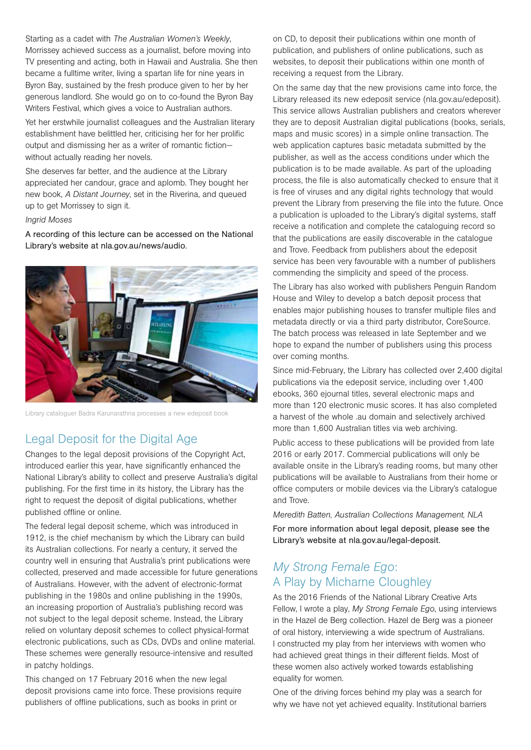Starting as a cadet with *The Australian Women's Weekly*, Morrissey achieved success as a journalist, before moving into TV presenting and acting, both in Hawaii and Australia. She then became a fulltime writer, living a spartan life for nine years in Byron Bay, sustained by the fresh produce given to her by her generous landlord. She would go on to co-found the Byron Bay Writers Festival, which gives a voice to Australian authors.

Yet her erstwhile journalist colleagues and the Australian literary establishment have belittled her, criticising her for her prolific output and dismissing her as a writer of romantic fiction without actually reading her novels.

She deserves far better, and the audience at the Library appreciated her candour, grace and aplomb. They bought her new book, *A Distant Journey*, set in the Riverina, and queued up to get Morrissey to sign it.

#### *Ingrid Moses*

A recording of this lecture can be accessed on the National Library's website at nla.gov.au/news/audio.



Library cataloguer Badra Karunarathna processes a new edeposit book

# Legal Deposit for the Digital Age

Changes to the legal deposit provisions of the Copyright Act, introduced earlier this year, have significantly enhanced the National Library's ability to collect and preserve Australia's digital publishing. For the first time in its history, the Library has the right to request the deposit of digital publications, whether published offline or online.

The federal legal deposit scheme, which was introduced in 1912, is the chief mechanism by which the Library can build its Australian collections. For nearly a century, it served the country well in ensuring that Australia's print publications were collected, preserved and made accessible for future generations of Australians. However, with the advent of electronic-format publishing in the 1980s and online publishing in the 1990s, an increasing proportion of Australia's publishing record was not subject to the legal deposit scheme. Instead, the Library relied on voluntary deposit schemes to collect physical-format electronic publications, such as CDs, DVDs and online material. These schemes were generally resource-intensive and resulted in patchy holdings.

This changed on 17 February 2016 when the new legal deposit provisions came into force. These provisions require publishers of offline publications, such as books in print or

on CD, to deposit their publications within one month of publication, and publishers of online publications, such as websites, to deposit their publications within one month of receiving a request from the Library.

On the same day that the new provisions came into force, the Library released its new edeposit service (nla.gov.au/edeposit). This service allows Australian publishers and creators wherever they are to deposit Australian digital publications (books, serials, maps and music scores) in a simple online transaction. The web application captures basic metadata submitted by the publisher, as well as the access conditions under which the publication is to be made available. As part of the uploading process, the file is also automatically checked to ensure that it is free of viruses and any digital rights technology that would prevent the Library from preserving the file into the future. Once a publication is uploaded to the Library's digital systems, staff receive a notification and complete the cataloguing record so that the publications are easily discoverable in the catalogue and Trove. Feedback from publishers about the edeposit service has been very favourable with a number of publishers commending the simplicity and speed of the process.

The Library has also worked with publishers Penguin Random House and Wiley to develop a batch deposit process that enables major publishing houses to transfer multiple files and metadata directly or via a third party distributor, CoreSource. The batch process was released in late September and we hope to expand the number of publishers using this process over coming months.

Since mid-February, the Library has collected over 2,400 digital publications via the edeposit service, including over 1,400 ebooks, 360 ejournal titles, several electronic maps and more than 120 electronic music scores. It has also completed a harvest of the whole .au domain and selectively archived more than 1,600 Australian titles via web archiving.

Public access to these publications will be provided from late 2016 or early 2017. Commercial publications will only be available onsite in the Library's reading rooms, but many other publications will be available to Australians from their home or office computers or mobile devices via the Library's catalogue and Trove.

*Meredith Batten, Australian Collections Management, NLA* For more information about legal deposit, please see the Library's website at nla.gov.au/legal-deposit.

# *My Strong Female Ego*: A Play by Micharne Cloughley

As the 2016 Friends of the National Library Creative Arts Fellow, I wrote a play, *My Strong Female Ego*, using interviews in the Hazel de Berg collection. Hazel de Berg was a pioneer of oral history, interviewing a wide spectrum of Australians. I constructed my play from her interviews with women who had achieved great things in their different fields. Most of these women also actively worked towards establishing equality for women.

One of the driving forces behind my play was a search for why we have not yet achieved equality. Institutional barriers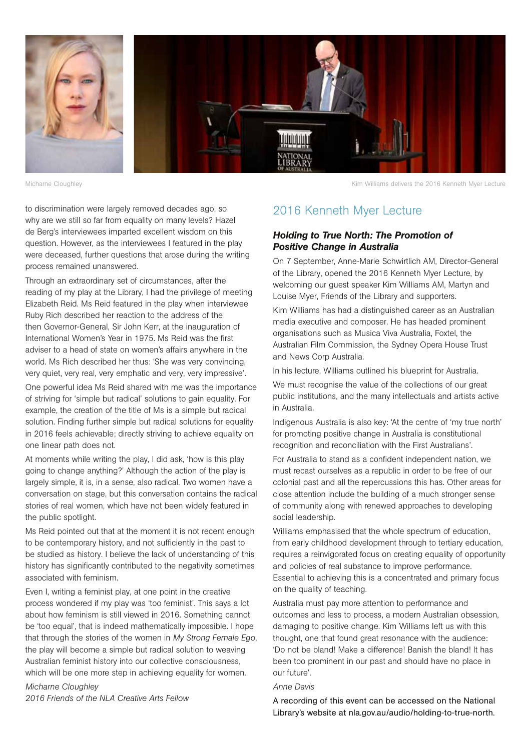

Micharne Cloughley

Kim Williams delivers the 2016 Kenneth Myer Lecture

to discrimination were largely removed decades ago, so why are we still so far from equality on many levels? Hazel de Berg's interviewees imparted excellent wisdom on this question. However, as the interviewees I featured in the play were deceased, further questions that arose during the writing process remained unanswered.

Through an extraordinary set of circumstances, after the reading of my play at the Library, I had the privilege of meeting Elizabeth Reid. Ms Reid featured in the play when interviewee Ruby Rich described her reaction to the address of the then Governor-General, Sir John Kerr, at the inauguration of International Women's Year in 1975. Ms Reid was the first adviser to a head of state on women's affairs anywhere in the world. Ms Rich described her thus: 'She was very convincing, very quiet, very real, very emphatic and very, very impressive'.

One powerful idea Ms Reid shared with me was the importance of striving for 'simple but radical' solutions to gain equality. For example, the creation of the title of Ms is a simple but radical solution. Finding further simple but radical solutions for equality in 2016 feels achievable; directly striving to achieve equality on one linear path does not.

At moments while writing the play, I did ask, 'how is this play going to change anything?' Although the action of the play is largely simple, it is, in a sense, also radical. Two women have a conversation on stage, but this conversation contains the radical stories of real women, which have not been widely featured in the public spotlight.

Ms Reid pointed out that at the moment it is not recent enough to be contemporary history, and not sufficiently in the past to be studied as history. I believe the lack of understanding of this history has significantly contributed to the negativity sometimes associated with feminism.

Even I, writing a feminist play, at one point in the creative process wondered if my play was 'too feminist'. This says a lot about how feminism is still viewed in 2016. Something cannot be 'too equal', that is indeed mathematically impossible. I hope that through the stories of the women in *My Strong Female Ego*, the play will become a simple but radical solution to weaving Australian feminist history into our collective consciousness, which will be one more step in achieving equality for women.

*Micharne Cloughley 2016 Friends of the NLA Creative Arts Fellow*

# 2016 Kenneth Myer Lecture

#### *Holding to True North: The Promotion of Positive Change in Australia*

On 7 September, Anne-Marie Schwirtlich AM, Director-General of the Library, opened the 2016 Kenneth Myer Lecture, by welcoming our guest speaker Kim Williams AM, Martyn and Louise Myer, Friends of the Library and supporters.

Kim Williams has had a distinguished career as an Australian media executive and composer. He has headed prominent organisations such as Musica Viva Australia, Foxtel, the Australian Film Commission, the Sydney Opera House Trust and News Corp Australia.

In his lecture, Williams outlined his blueprint for Australia.

We must recognise the value of the collections of our great public institutions, and the many intellectuals and artists active in Australia.

Indigenous Australia is also key: 'At the centre of 'my true north' for promoting positive change in Australia is constitutional recognition and reconciliation with the First Australians'.

For Australia to stand as a confident independent nation, we must recast ourselves as a republic in order to be free of our colonial past and all the repercussions this has. Other areas for close attention include the building of a much stronger sense of community along with renewed approaches to developing social leadership.

Williams emphasised that the whole spectrum of education, from early childhood development through to tertiary education, requires a reinvigorated focus on creating equality of opportunity and policies of real substance to improve performance. Essential to achieving this is a concentrated and primary focus on the quality of teaching.

Australia must pay more attention to performance and outcomes and less to process, a modern Australian obsession, damaging to positive change. Kim Williams left us with this thought, one that found great resonance with the audience: 'Do not be bland! Make a difference! Banish the bland! It has been too prominent in our past and should have no place in our future'.

#### *Anne Davis*

A recording of this event can be accessed on the National Library's website at nla.gov.au/audio/holding-to-true-north.